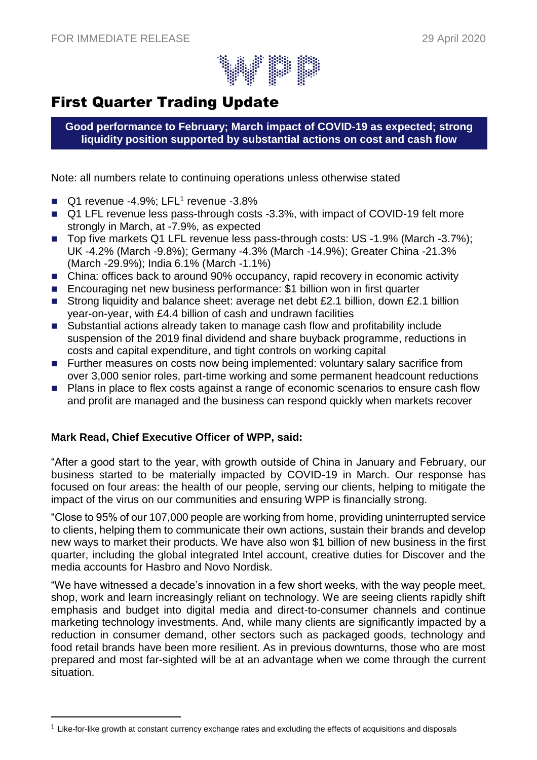

# First Quarter Trading Update

**Good performance to February; March impact of COVID-19 as expected; strong liquidity position supported by substantial actions on cost and cash flow**

Note: all numbers relate to continuing operations unless otherwise stated

- Q1 revenue -4.9%; LFL<sup>1</sup> revenue -3.8%
- Q1 LFL revenue less pass-through costs -3.3%, with impact of COVID-19 felt more strongly in March, at -7.9%, as expected
- Top five markets Q1 LFL revenue less pass-through costs: US -1.9% (March -3.7%); UK -4.2% (March -9.8%); Germany -4.3% (March -14.9%); Greater China -21.3% (March -29.9%); India 6.1% (March -1.1%)
- China: offices back to around 90% occupancy, rapid recovery in economic activity
- Encouraging net new business performance: \$1 billion won in first quarter
- Strong liquidity and balance sheet: average net debt £2.1 billion, down £2.1 billion year-on-year, with £4.4 billion of cash and undrawn facilities
- Substantial actions already taken to manage cash flow and profitability include suspension of the 2019 final dividend and share buyback programme, reductions in costs and capital expenditure, and tight controls on working capital
- Further measures on costs now being implemented: voluntary salary sacrifice from over 3,000 senior roles, part-time working and some permanent headcount reductions
- Plans in place to flex costs against a range of economic scenarios to ensure cash flow and profit are managed and the business can respond quickly when markets recover

# **Mark Read, Chief Executive Officer of WPP, said:**

 $\overline{a}$ 

"After a good start to the year, with growth outside of China in January and February, our business started to be materially impacted by COVID-19 in March. Our response has focused on four areas: the health of our people, serving our clients, helping to mitigate the impact of the virus on our communities and ensuring WPP is financially strong.

"Close to 95% of our 107,000 people are working from home, providing uninterrupted service to clients, helping them to communicate their own actions, sustain their brands and develop new ways to market their products. We have also won \$1 billion of new business in the first quarter, including the global integrated Intel account, creative duties for Discover and the media accounts for Hasbro and Novo Nordisk.

"We have witnessed a decade's innovation in a few short weeks, with the way people meet, shop, work and learn increasingly reliant on technology. We are seeing clients rapidly shift emphasis and budget into digital media and direct-to-consumer channels and continue marketing technology investments. And, while many clients are significantly impacted by a reduction in consumer demand, other sectors such as packaged goods, technology and food retail brands have been more resilient. As in previous downturns, those who are most prepared and most far-sighted will be at an advantage when we come through the current situation.

 $<sup>1</sup>$  Like-for-like growth at constant currency exchange rates and excluding the effects of acquisitions and disposals</sup>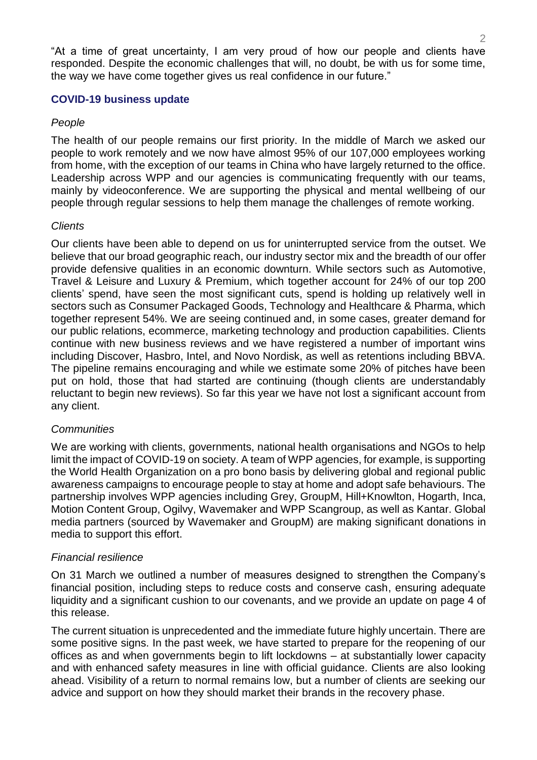"At a time of great uncertainty, I am very proud of how our people and clients have responded. Despite the economic challenges that will, no doubt, be with us for some time, the way we have come together gives us real confidence in our future."

## **COVID-19 business update**

# *People*

The health of our people remains our first priority. In the middle of March we asked our people to work remotely and we now have almost 95% of our 107,000 employees working from home, with the exception of our teams in China who have largely returned to the office. Leadership across WPP and our agencies is communicating frequently with our teams, mainly by videoconference. We are supporting the physical and mental wellbeing of our people through regular sessions to help them manage the challenges of remote working.

# *Clients*

Our clients have been able to depend on us for uninterrupted service from the outset. We believe that our broad geographic reach, our industry sector mix and the breadth of our offer provide defensive qualities in an economic downturn. While sectors such as Automotive, Travel & Leisure and Luxury & Premium, which together account for 24% of our top 200 clients' spend, have seen the most significant cuts, spend is holding up relatively well in sectors such as Consumer Packaged Goods, Technology and Healthcare & Pharma, which together represent 54%. We are seeing continued and, in some cases, greater demand for our public relations, ecommerce, marketing technology and production capabilities. Clients continue with new business reviews and we have registered a number of important wins including Discover, Hasbro, Intel, and Novo Nordisk, as well as retentions including BBVA. The pipeline remains encouraging and while we estimate some 20% of pitches have been put on hold, those that had started are continuing (though clients are understandably reluctant to begin new reviews). So far this year we have not lost a significant account from any client.

## *Communities*

We are working with clients, governments, national health organisations and NGOs to help limit the impact of COVID-19 on society. A team of WPP agencies, for example, is supporting the World Health Organization on a pro bono basis by delivering global and regional public awareness campaigns to encourage people to stay at home and adopt safe behaviours. The partnership involves WPP agencies including Grey, GroupM, Hill+Knowlton, Hogarth, Inca, Motion Content Group, Ogilvy, Wavemaker and WPP Scangroup, as well as Kantar. Global media partners (sourced by Wavemaker and GroupM) are making significant donations in media to support this effort.

## *Financial resilience*

On 31 March we outlined a number of measures designed to strengthen the Company's financial position, including steps to reduce costs and conserve cash, ensuring adequate liquidity and a significant cushion to our covenants, and we provide an update on page 4 of this release.

The current situation is unprecedented and the immediate future highly uncertain. There are some positive signs. In the past week, we have started to prepare for the reopening of our offices as and when governments begin to lift lockdowns – at substantially lower capacity and with enhanced safety measures in line with official guidance. Clients are also looking ahead. Visibility of a return to normal remains low, but a number of clients are seeking our advice and support on how they should market their brands in the recovery phase.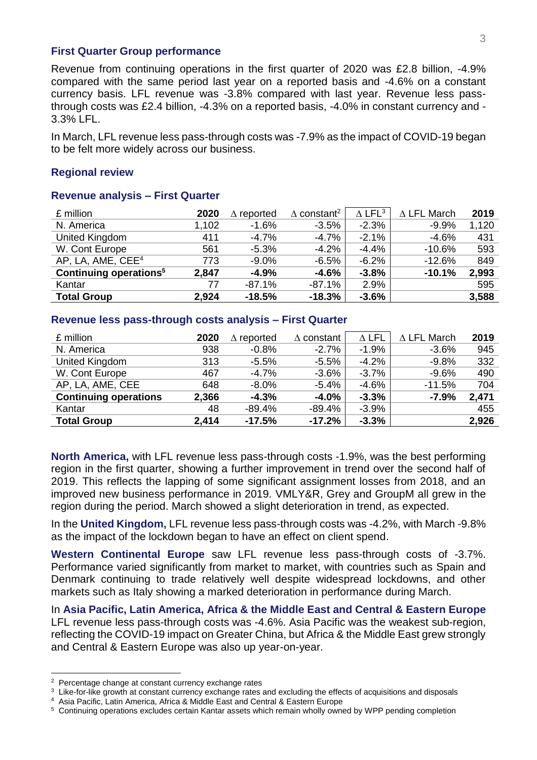#### **First Quarter Group performance**

Revenue from continuing operations in the first quarter of 2020 was £2.8 billion, -4.9% compared with the same period last year on a reported basis and -4.6% on a constant currency basis. LFL revenue was -3.8% compared with last year. Revenue less passthrough costs was £2.4 billion, -4.3% on a reported basis, -4.0% in constant currency and - 3.3% LFL.

In March, LFL revenue less pass-through costs was -7.9% as the impact of COVID-19 began to be felt more widely across our business.

## **Regional review**

| £ million                          | 2020  | reported | $\Delta$ constant <sup>2</sup> | $\Delta$ LFL <sup>3</sup> | $\Delta$ LFL March | 2019  |
|------------------------------------|-------|----------|--------------------------------|---------------------------|--------------------|-------|
| N. America                         | 1,102 | $-1.6%$  | $-3.5%$                        | $-2.3%$                   | $-9.9%$            | 1,120 |
| United Kingdom                     | 411   | $-4.7\%$ | $-4.7%$                        | $-2.1%$                   | $-4.6%$            | 431   |
| W. Cont Europe                     | 561   | $-5.3%$  | $-4.2%$                        | $-4.4%$                   | $-10.6\%$          | 593   |
| AP, LA, AME, CEE <sup>4</sup>      | 773   | $-9.0\%$ | $-6.5%$                        | $-6.2%$                   | $-12.6%$           | 849   |
| Continuing operations <sup>5</sup> | 2,847 | $-4.9%$  | $-4.6%$                        | $-3.8%$                   | $-10.1%$           | 2,993 |
| Kantar                             | 77    | $-87.1%$ | $-87.1%$                       | 2.9%                      |                    | 595   |
| <b>Total Group</b>                 | 2,924 | $-18.5%$ | $-18.3%$                       | $-3.6%$                   |                    | 3,588 |

## **Revenue analysis – First Quarter**

## **Revenue less pass-through costs analysis – First Quarter**

| £ million                    | 2020  | $\Delta$ reported | $\Delta$ constant | $\Delta$ LFL | $\Delta$ LFL March | 2019  |
|------------------------------|-------|-------------------|-------------------|--------------|--------------------|-------|
| N. America                   | 938   | $-0.8%$           | $-2.7%$           | $-1.9%$      | $-3.6%$            | 945   |
| United Kingdom               | 313   | $-5.5%$           | $-5.5%$           | $-4.2%$      | $-9.8%$            | 332   |
| W. Cont Europe               | 467   | $-4.7\%$          | $-3.6%$           | $-3.7%$      | $-9.6%$            | 490   |
| AP, LA, AME, CEE             | 648   | $-8.0\%$          | $-5.4%$           | $-4.6%$      | $-11.5%$           | 704   |
| <b>Continuing operations</b> | 2,366 | $-4.3%$           | $-4.0%$           | $-3.3%$      | $-7.9%$            | 2,471 |
| Kantar                       | 48    | $-89.4%$          | $-89.4%$          | $-3.9%$      |                    | 455   |
| <b>Total Group</b>           | 2,414 | $-17.5%$          | $-17.2%$          | $-3.3%$      |                    | 2,926 |

**North America,** with LFL revenue less pass-through costs -1.9%, was the best performing region in the first quarter, showing a further improvement in trend over the second half of 2019. This reflects the lapping of some significant assignment losses from 2018, and an improved new business performance in 2019. VMLY&R, Grey and GroupM all grew in the region during the period. March showed a slight deterioration in trend, as expected.

In the **United Kingdom,** LFL revenue less pass-through costs was -4.2%, with March -9.8% as the impact of the lockdown began to have an effect on client spend.

**Western Continental Europe** saw LFL revenue less pass-through costs of -3.7%. Performance varied significantly from market to market, with countries such as Spain and Denmark continuing to trade relatively well despite widespread lockdowns, and other markets such as Italy showing a marked deterioration in performance during March.

In **Asia Pacific, Latin America, Africa & the Middle East and Central & Eastern Europe** LFL revenue less pass-through costs was -4.6%. Asia Pacific was the weakest sub-region, reflecting the COVID-19 impact on Greater China, but Africa & the Middle East grew strongly and Central & Eastern Europe was also up year-on-year.

<sup>2</sup> Percentage change at constant currency exchange rates

<sup>&</sup>lt;sup>3</sup> Like-for-like growth at constant currency exchange rates and excluding the effects of acquisitions and disposals <sup>4</sup> Asia Pacific, Latin America, Africa & Middle East and Central & Eastern Europe

<sup>5</sup> Continuing operations excludes certain Kantar assets which remain wholly owned by WPP pending completion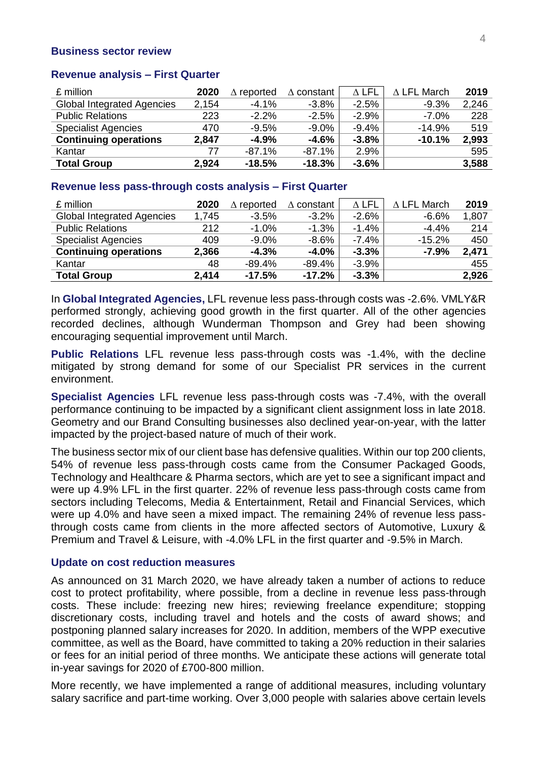#### **Business sector review**

#### **Revenue analysis – First Quarter**

| £ million                         | 2020  | $\Delta$ reported | constant | $\Delta$ LFL | $\Delta$ LFL March | 2019  |
|-----------------------------------|-------|-------------------|----------|--------------|--------------------|-------|
| <b>Global Integrated Agencies</b> | 2,154 | $-4.1%$           | $-3.8%$  | $-2.5%$      | $-9.3%$            | 2,246 |
| <b>Public Relations</b>           | 223   | $-2.2%$           | $-2.5%$  | $-2.9%$      | $-7.0\%$           | 228   |
| <b>Specialist Agencies</b>        | 470   | $-9.5%$           | $-9.0\%$ | $-9.4%$      | $-14.9%$           | 519   |
| <b>Continuing operations</b>      | 2,847 | $-4.9%$           | $-4.6%$  | $-3.8%$      | $-10.1%$           | 2,993 |
| Kantar                            | 77    | $-87.1%$          | $-87.1%$ | 2.9%         |                    | 595   |
| <b>Total Group</b>                | 2,924 | $-18.5%$          | $-18.3%$ | $-3.6%$      |                    | 3,588 |

#### **Revenue less pass-through costs analysis – First Quarter**

| £ million                         | 2020  | $\Delta$ reported | constant  | $\Delta$ LFL | $\Delta$ LFL March | 2019  |
|-----------------------------------|-------|-------------------|-----------|--------------|--------------------|-------|
| <b>Global Integrated Agencies</b> | 1,745 | $-3.5%$           | $-3.2%$   | $-2.6%$      | $-6.6%$            | 1,807 |
| <b>Public Relations</b>           | 212   | $-1.0\%$          | $-1.3%$   | $-1.4%$      | $-4.4%$            | 214   |
| <b>Specialist Agencies</b>        | 409   | $-9.0\%$          | $-8.6%$   | $-7.4\%$     | $-15.2%$           | 450   |
| <b>Continuing operations</b>      | 2,366 | $-4.3%$           | $-4.0%$   | $-3.3%$      | $-7.9%$            | 2,471 |
| Kantar                            | 48    | $-89.4\%$         | $-89.4\%$ | $-3.9%$      |                    | 455   |
| <b>Total Group</b>                | 2,414 | $-17.5%$          | $-17.2%$  | $-3.3%$      |                    | 2,926 |

In **Global Integrated Agencies,** LFL revenue less pass-through costs was -2.6%. VMLY&R performed strongly, achieving good growth in the first quarter. All of the other agencies recorded declines, although Wunderman Thompson and Grey had been showing encouraging sequential improvement until March.

**Public Relations** LFL revenue less pass-through costs was -1.4%, with the decline mitigated by strong demand for some of our Specialist PR services in the current environment.

**Specialist Agencies** LFL revenue less pass-through costs was -7.4%, with the overall performance continuing to be impacted by a significant client assignment loss in late 2018. Geometry and our Brand Consulting businesses also declined year-on-year, with the latter impacted by the project-based nature of much of their work.

The business sector mix of our client base has defensive qualities. Within our top 200 clients, 54% of revenue less pass-through costs came from the Consumer Packaged Goods, Technology and Healthcare & Pharma sectors, which are yet to see a significant impact and were up 4.9% LFL in the first quarter. 22% of revenue less pass-through costs came from sectors including Telecoms, Media & Entertainment, Retail and Financial Services, which were up 4.0% and have seen a mixed impact. The remaining 24% of revenue less passthrough costs came from clients in the more affected sectors of Automotive, Luxury & Premium and Travel & Leisure, with -4.0% LFL in the first quarter and -9.5% in March.

#### **Update on cost reduction measures**

As announced on 31 March 2020, we have already taken a number of actions to reduce cost to protect profitability, where possible, from a decline in revenue less pass-through costs. These include: freezing new hires; reviewing freelance expenditure; stopping discretionary costs, including travel and hotels and the costs of award shows; and postponing planned salary increases for 2020. In addition, members of the WPP executive committee, as well as the Board, have committed to taking a 20% reduction in their salaries or fees for an initial period of three months. We anticipate these actions will generate total in-year savings for 2020 of £700-800 million.

More recently, we have implemented a range of additional measures, including voluntary salary sacrifice and part-time working. Over 3,000 people with salaries above certain levels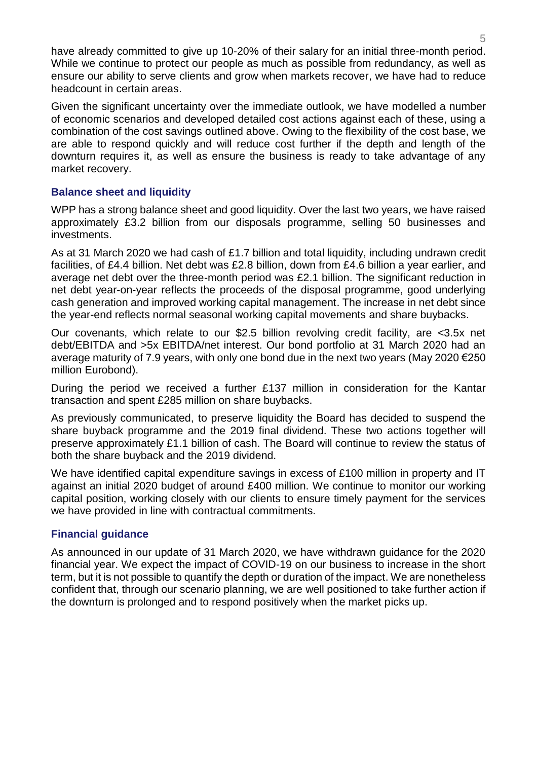have already committed to give up 10-20% of their salary for an initial three-month period. While we continue to protect our people as much as possible from redundancy, as well as ensure our ability to serve clients and grow when markets recover, we have had to reduce headcount in certain areas.

Given the significant uncertainty over the immediate outlook, we have modelled a number of economic scenarios and developed detailed cost actions against each of these, using a combination of the cost savings outlined above. Owing to the flexibility of the cost base, we are able to respond quickly and will reduce cost further if the depth and length of the downturn requires it, as well as ensure the business is ready to take advantage of any market recovery.

# **Balance sheet and liquidity**

WPP has a strong balance sheet and good liquidity. Over the last two years, we have raised approximately £3.2 billion from our disposals programme, selling 50 businesses and investments.

As at 31 March 2020 we had cash of £1.7 billion and total liquidity, including undrawn credit facilities, of £4.4 billion. Net debt was £2.8 billion, down from £4.6 billion a year earlier, and average net debt over the three-month period was £2.1 billion. The significant reduction in net debt year-on-year reflects the proceeds of the disposal programme, good underlying cash generation and improved working capital management. The increase in net debt since the year-end reflects normal seasonal working capital movements and share buybacks.

Our covenants, which relate to our \$2.5 billion revolving credit facility, are <3.5x net debt/EBITDA and >5x EBITDA/net interest. Our bond portfolio at 31 March 2020 had an average maturity of 7.9 years, with only one bond due in the next two years (May 2020 €250 million Eurobond).

During the period we received a further £137 million in consideration for the Kantar transaction and spent £285 million on share buybacks.

As previously communicated, to preserve liquidity the Board has decided to suspend the share buyback programme and the 2019 final dividend. These two actions together will preserve approximately £1.1 billion of cash. The Board will continue to review the status of both the share buyback and the 2019 dividend.

We have identified capital expenditure savings in excess of £100 million in property and IT against an initial 2020 budget of around £400 million. We continue to monitor our working capital position, working closely with our clients to ensure timely payment for the services we have provided in line with contractual commitments.

# **Financial guidance**

As announced in our update of 31 March 2020, we have withdrawn guidance for the 2020 financial year. We expect the impact of COVID-19 on our business to increase in the short term, but it is not possible to quantify the depth or duration of the impact. We are nonetheless confident that, through our scenario planning, we are well positioned to take further action if the downturn is prolonged and to respond positively when the market picks up.